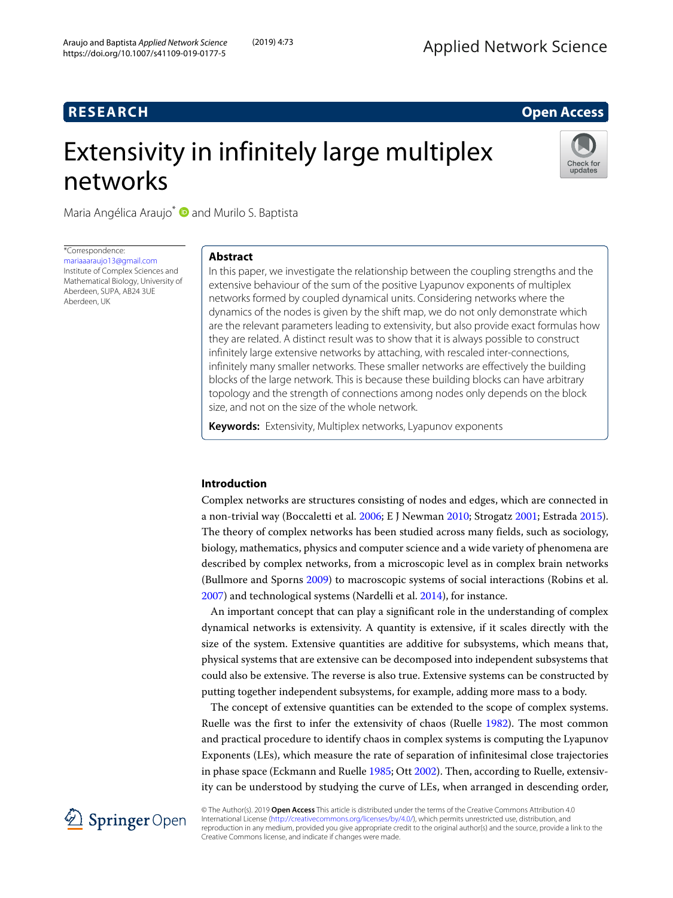# **RESEARCH Open Access**

# Extensivity in infinitely large multiplex networks



Maria Angélica Araujo<sup>\*</sup> and Murilo S. Baptista

\*Correspondence: [mariaaaraujo13@gmail.com](mailto: mariaaaraujo13@gmail.com) Institute of Complex Sciences and Mathematical Biology, University of Aberdeen, SUPA, AB24 3UE Aberdeen, UK

# **Abstract**

In this paper, we investigate the relationship between the coupling strengths and the extensive behaviour of the sum of the positive Lyapunov exponents of multiplex networks formed by coupled dynamical units. Considering networks where the dynamics of the nodes is given by the shift map, we do not only demonstrate which are the relevant parameters leading to extensivity, but also provide exact formulas how they are related. A distinct result was to show that it is always possible to construct infinitely large extensive networks by attaching, with rescaled inter-connections, infinitely many smaller networks. These smaller networks are effectively the building blocks of the large network. This is because these building blocks can have arbitrary topology and the strength of connections among nodes only depends on the block size, and not on the size of the whole network.

**Keywords:** Extensivity, Multiplex networks, Lyapunov exponents

# **Introduction**

Complex networks are structures consisting of nodes and edges, which are connected in a non-trivial way (Boccaletti et al. [2006;](#page-17-0) E J Newman [2010;](#page-17-1) Strogatz [2001;](#page-17-2) Estrada [2015\)](#page-17-3). The theory of complex networks has been studied across many fields, such as sociology, biology, mathematics, physics and computer science and a wide variety of phenomena are described by complex networks, from a microscopic level as in complex brain networks (Bullmore and Sporns [2009\)](#page-17-4) to macroscopic systems of social interactions (Robins et al. [2007\)](#page-17-5) and technological systems (Nardelli et al. [2014\)](#page-17-6), for instance.

An important concept that can play a significant role in the understanding of complex dynamical networks is extensivity. A quantity is extensive, if it scales directly with the size of the system. Extensive quantities are additive for subsystems, which means that, physical systems that are extensive can be decomposed into independent subsystems that could also be extensive. The reverse is also true. Extensive systems can be constructed by putting together independent subsystems, for example, adding more mass to a body.

The concept of extensive quantities can be extended to the scope of complex systems. Ruelle was the first to infer the extensivity of chaos (Ruelle [1982\)](#page-17-7). The most common and practical procedure to identify chaos in complex systems is computing the Lyapunov Exponents (LEs), which measure the rate of separation of infinitesimal close trajectories in phase space (Eckmann and Ruelle [1985;](#page-17-8) Ott [2002\)](#page-17-9). Then, according to Ruelle, extensivity can be understood by studying the curve of LEs, when arranged in descending order,



© The Author(s). 2019 **Open Access** This article is distributed under the terms of the Creative Commons Attribution 4.0 International License [\(http://creativecommons.org/licenses/by/4.0/\)](http://creativecommons.org/licenses/by/4.0/), which permits unrestricted use, distribution, and reproduction in any medium, provided you give appropriate credit to the original author(s) and the source, provide a link to the Creative Commons license, and indicate if changes were made.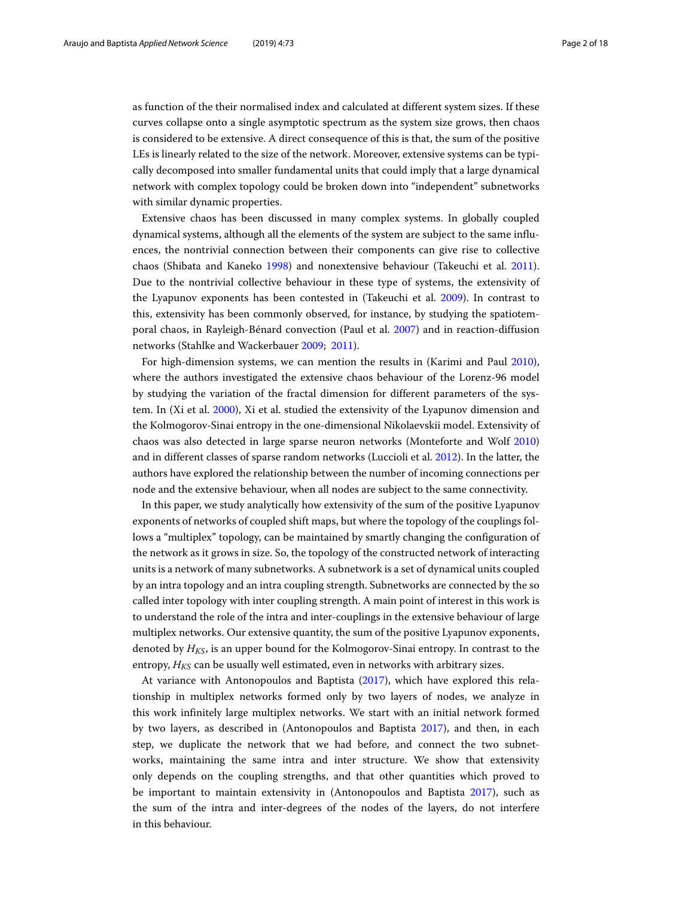as function of the their normalised index and calculated at different system sizes. If these curves collapse onto a single asymptotic spectrum as the system size grows, then chaos is considered to be extensive. A direct consequence of this is that, the sum of the positive LEs is linearly related to the size of the network. Moreover, extensive systems can be typically decomposed into smaller fundamental units that could imply that a large dynamical network with complex topology could be broken down into "independent" subnetworks with similar dynamic properties.

Extensive chaos has been discussed in many complex systems. In globally coupled dynamical systems, although all the elements of the system are subject to the same influences, the nontrivial connection between their components can give rise to collective chaos (Shibata and Kaneko [1998\)](#page-17-10) and nonextensive behaviour (Takeuchi et al. [2011\)](#page-17-11). Due to the nontrivial collective behaviour in these type of systems, the extensivity of the Lyapunov exponents has been contested in (Takeuchi et al. [2009\)](#page-17-12). In contrast to this, extensivity has been commonly observed, for instance, by studying the spatiotemporal chaos, in Rayleigh-Bénard convection (Paul et al. [2007\)](#page-17-13) and in reaction-diffusion networks (Stahlke and Wackerbauer [2009;](#page-17-14) [2011\)](#page-17-15).

For high-dimension systems, we can mention the results in (Karimi and Paul [2010\)](#page-17-16), where the authors investigated the extensive chaos behaviour of the Lorenz-96 model by studying the variation of the fractal dimension for different parameters of the system. In (Xi et al. [2000\)](#page-17-17), Xi et al. studied the extensivity of the Lyapunov dimension and the Kolmogorov-Sinai entropy in the one-dimensional Nikolaevskii model. Extensivity of chaos was also detected in large sparse neuron networks (Monteforte and Wolf [2010\)](#page-17-18) and in different classes of sparse random networks (Luccioli et al. [2012\)](#page-17-19). In the latter, the authors have explored the relationship between the number of incoming connections per node and the extensive behaviour, when all nodes are subject to the same connectivity.

In this paper, we study analytically how extensivity of the sum of the positive Lyapunov exponents of networks of coupled shift maps, but where the topology of the couplings follows a "multiplex" topology, can be maintained by smartly changing the configuration of the network as it grows in size. So, the topology of the constructed network of interacting units is a network of many subnetworks. A subnetwork is a set of dynamical units coupled by an intra topology and an intra coupling strength. Subnetworks are connected by the so called inter topology with inter coupling strength. A main point of interest in this work is to understand the role of the intra and inter-couplings in the extensive behaviour of large multiplex networks. Our extensive quantity, the sum of the positive Lyapunov exponents, denoted by  $H_{KS}$ , is an upper bound for the Kolmogorov-Sinai entropy. In contrast to the entropy,  $H_{KS}$  can be usually well estimated, even in networks with arbitrary sizes.

At variance with Antonopoulos and Baptista [\(2017\)](#page-17-20), which have explored this relationship in multiplex networks formed only by two layers of nodes, we analyze in this work infinitely large multiplex networks. We start with an initial network formed by two layers, as described in (Antonopoulos and Baptista [2017\)](#page-17-20), and then, in each step, we duplicate the network that we had before, and connect the two subnetworks, maintaining the same intra and inter structure. We show that extensivity only depends on the coupling strengths, and that other quantities which proved to be important to maintain extensivity in (Antonopoulos and Baptista [2017\)](#page-17-20), such as the sum of the intra and inter-degrees of the nodes of the layers, do not interfere in this behaviour.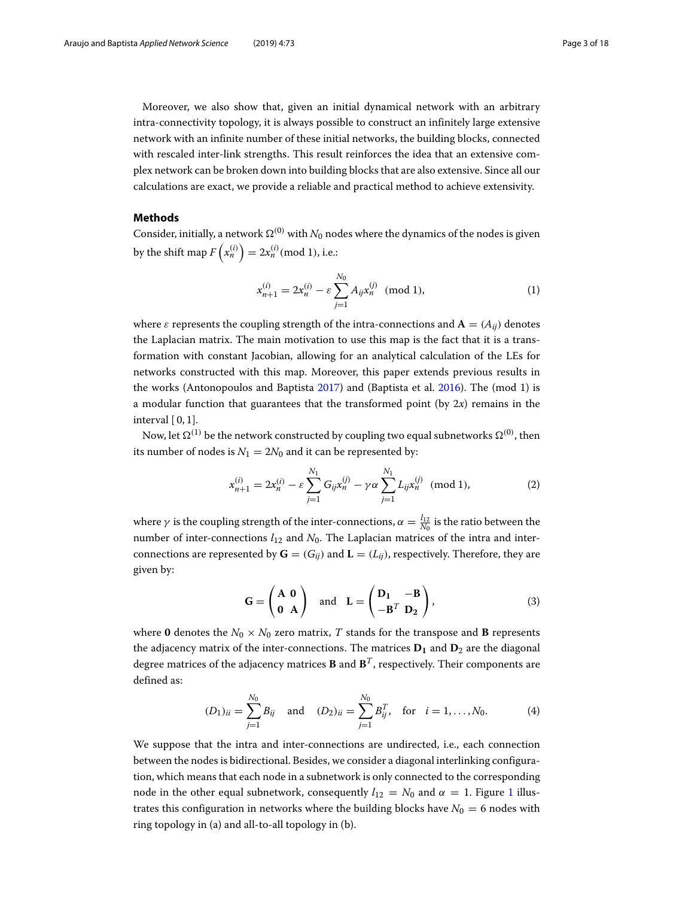Moreover, we also show that, given an initial dynamical network with an arbitrary intra-connectivity topology, it is always possible to construct an infinitely large extensive network with an infinite number of these initial networks, the building blocks, connected with rescaled inter-link strengths. This result reinforces the idea that an extensive complex network can be broken down into building blocks that are also extensive. Since all our calculations are exact, we provide a reliable and practical method to achieve extensivity.

# **Methods**

Consider, initially, a network  $\Omega^{(0)}$  with  $N_0$  nodes where the dynamics of the nodes is given by the shift map  $F\left(x_n^{(i)}\right)=2x_n^{(i)}(\text{mod }1)$ , i.e.:

<span id="page-2-1"></span>
$$
x_{n+1}^{(i)} = 2x_n^{(i)} - \varepsilon \sum_{j=1}^{N_0} A_{ij} x_n^{(j)} \pmod{1},\tag{1}
$$

where  $\varepsilon$  represents the coupling strength of the intra-connections and  $\mathbf{A} = (A_{ij})$  denotes the Laplacian matrix. The main motivation to use this map is the fact that it is a transformation with constant Jacobian, allowing for an analytical calculation of the LEs for networks constructed with this map. Moreover, this paper extends previous results in the works (Antonopoulos and Baptista [2017\)](#page-17-20) and (Baptista et al. [2016\)](#page-17-21). The (mod 1) is a modular function that guarantees that the transformed point (by 2*x*) remains in the interval  $[0, 1]$ .

Now, let  $\Omega^{(1)}$  be the network constructed by coupling two equal subnetworks  $\Omega^{(0)}$ , then its number of nodes is  $N_1 = 2N_0$  and it can be represented by:

<span id="page-2-0"></span>
$$
x_{n+1}^{(i)} = 2x_n^{(i)} - \varepsilon \sum_{j=1}^{N_1} G_{ij} x_n^{(j)} - \gamma \alpha \sum_{j=1}^{N_1} L_{ij} x_n^{(j)} \pmod{1},\tag{2}
$$

where  $\gamma$  is the coupling strength of the inter-connections,  $\alpha = \frac{l_{12}}{N_0}$  is the ratio between the number of inter-connections  $l_{12}$  and  $N_0$ . The Laplacian matrices of the intra and interconnections are represented by  $\mathbf{G} = (G_{ii})$  and  $\mathbf{L} = (L_{ii})$ , respectively. Therefore, they are given by:

$$
\mathbf{G} = \begin{pmatrix} \mathbf{A} & \mathbf{0} \\ \mathbf{0} & \mathbf{A} \end{pmatrix} \text{ and } \mathbf{L} = \begin{pmatrix} \mathbf{D}_1 & -\mathbf{B} \\ -\mathbf{B}^T & \mathbf{D}_2 \end{pmatrix},
$$
 (3)

where 0 denotes the  $N_0 \times N_0$  zero matrix, *T* stands for the transpose and **B** represents the adjacency matrix of the inter-connections. The matrices  $D_1$  and  $D_2$  are the diagonal degree matrices of the adjacency matrices **B** and  $\mathbf{B}^T$ , respectively. Their components are defined as:

$$
(D_1)_{ii} = \sum_{j=1}^{N_0} B_{ij} \text{ and } (D_2)_{ii} = \sum_{j=1}^{N_0} B_{ij}^T, \text{ for } i = 1, ..., N_0.
$$
 (4)

We suppose that the intra and inter-connections are undirected, i.e., each connection between the nodes is bidirectional. Besides, we consider a diagonal interlinking configuration, which means that each node in a subnetwork is only connected to the corresponding node in the other equal subnetwork, consequently  $l_{12} = N_0$  $l_{12} = N_0$  $l_{12} = N_0$  and  $\alpha = 1$ . Figure 1 illustrates this configuration in networks where the building blocks have  $N_0 = 6$  nodes with ring topology in (a) and all-to-all topology in (b).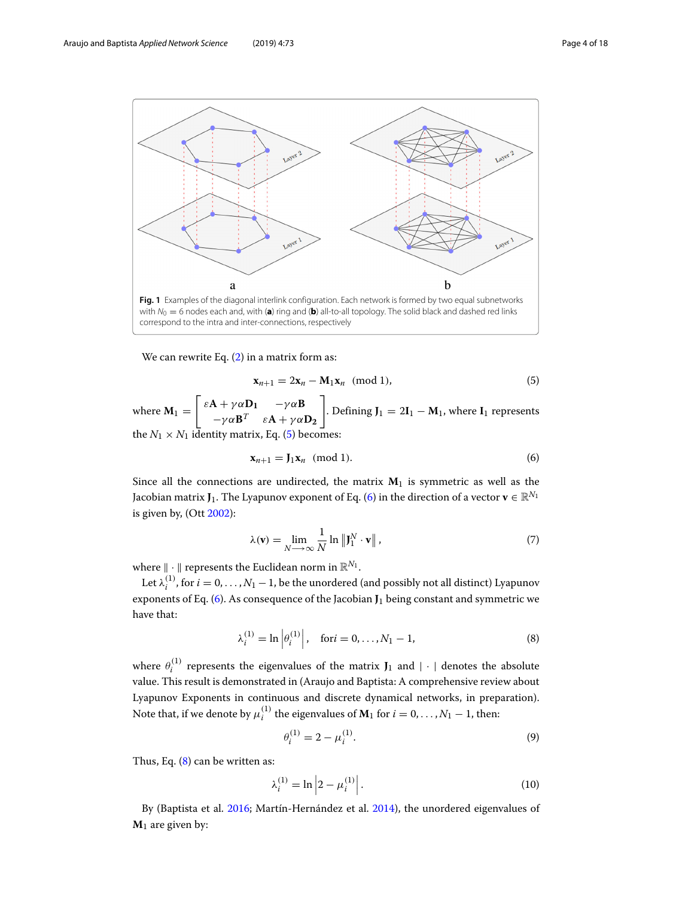

<span id="page-3-0"></span>We can rewrite Eq. [\(2\)](#page-2-0) in a matrix form as:

<span id="page-3-1"></span>
$$
\mathbf{x}_{n+1} = 2\mathbf{x}_n - \mathbf{M}_1 \mathbf{x}_n \pmod{1},\tag{5}
$$

where  $M_1 =$  $\begin{bmatrix} \varepsilon \mathbf{A} + \gamma \alpha \mathbf{D_1} & -\gamma \alpha \mathbf{B} \end{bmatrix}$  $-\gamma \alpha \mathbf{B}^T \quad \varepsilon \mathbf{A} + \gamma \alpha \mathbf{D}_2$ ٦ . Defining  $J_1 = 2I_1 - M_1$ , where  $I_1$  represents the  $N_1 \times N_1$  identity matrix, Eq. [\(5\)](#page-3-1) becomes

<span id="page-3-2"></span>
$$
\mathbf{x}_{n+1} = \mathbf{J}_1 \mathbf{x}_n \pmod{1}.\tag{6}
$$

Since all the connections are undirected, the matrix  $M_1$  is symmetric as well as the Jacobian matrix **J**<sub>1</sub>. The Lyapunov exponent of Eq. [\(6\)](#page-3-2) in the direction of a vector **v**  $\in \mathbb{R}^{N_1}$ is given by, (Ott [2002\)](#page-17-9):

$$
\lambda(\mathbf{v}) = \lim_{N \to \infty} \frac{1}{N} \ln \| \mathbf{J}_1^N \cdot \mathbf{v} \|,
$$
\n(7)

where  $\|\cdot\|$  represents the Euclidean norm in  $\mathbb{R}^{N_1}$ .

<span id="page-3-3"></span>Let  $\lambda_i^{(1)}$ , for  $i = 0, ..., N_1 - 1$ , be the unordered (and possibly not all distinct) Lyapunov exponents of Eq. [\(6\)](#page-3-2). As consequence of the Jacobian **J**<sup>1</sup> being constant and symmetric we have that:

$$
\lambda_i^{(1)} = \ln \left| \theta_i^{(1)} \right|, \quad \text{for } i = 0, \dots, N_1 - 1,\tag{8}
$$

where  $\theta_i^{(1)}$  represents the eigenvalues of the matrix  $J_1$  and  $| \cdot |$  denotes the absolute value. This result is demonstrated in (Araujo and Baptista: A comprehensive review about Lyapunov Exponents in continuous and discrete dynamical networks, in preparation). Note that, if we denote by  $\mu_i^{(1)}$  the eigenvalues of  $M_1$  for  $i = 0, \ldots, N_1 - 1$ , then:

$$
\theta_i^{(1)} = 2 - \mu_i^{(1)}.
$$
\n(9)

Thus, Eq. [\(8\)](#page-3-3) can be written as:

$$
\lambda_i^{(1)} = \ln \left| 2 - \mu_i^{(1)} \right|.
$$
\n<sup>(10)</sup>

By (Baptista et al. [2016;](#page-17-21) Martín-Hernández et al. [2014\)](#page-17-22), the unordered eigenvalues of  $M_1$  are given by: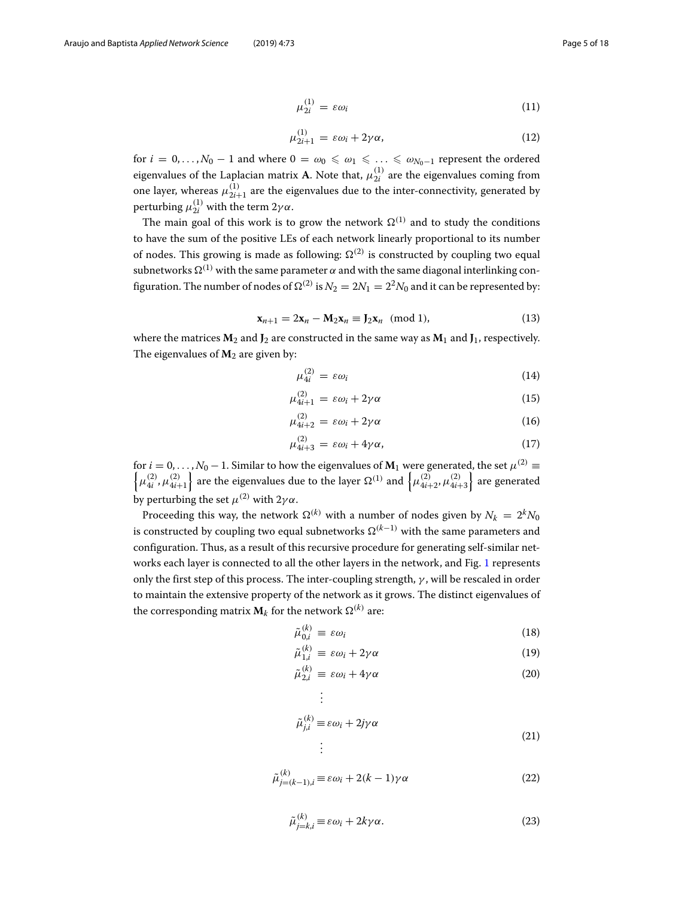$$
\mu_{2i}^{(1)} = \varepsilon \omega_i \tag{11}
$$

$$
\mu_{2i+1}^{(1)} = \varepsilon \omega_i + 2\gamma \alpha, \tag{12}
$$

for  $i=0,\ldots,N_0-1$  and where  $0=\omega_0\leqslant\omega_1\leqslant\ldots\leqslant\omega_{N_0-1}$  represent the ordered eigenvalues of the Laplacian matrix **A**. Note that,  $\mu_{2i}^{(1)}$  are the eigenvalues coming from one layer, whereas  $\mu_{2i+1}^{(1)}$  are the eigenvalues due to the inter-connectivity, generated by perturbing  $\mu_{2i}^{(1)}$  with the term 2 $\gamma\alpha$ .

The main goal of this work is to grow the network  $\Omega^{(1)}$  and to study the conditions to have the sum of the positive LEs of each network linearly proportional to its number of nodes. This growing is made as following:  $\Omega^{(2)}$  is constructed by coupling two equal subnetworks  $\Omega^{(1)}$  with the same parameter  $\alpha$  and with the same diagonal interlinking configuration. The number of nodes of  $\Omega^{(2)}$  is  $N_2 = 2N_1 = 2^2N_0$  and it can be represented by:

$$
\mathbf{x}_{n+1} = 2\mathbf{x}_n - \mathbf{M}_2 \mathbf{x}_n \equiv \mathbf{J}_2 \mathbf{x}_n \pmod{1},\tag{13}
$$

where the matrices  $M_2$  and  $J_2$  are constructed in the same way as  $M_1$  and  $J_1$ , respectively. The eigenvalues of  $M_2$  are given by:

$$
\mu_{4i}^{(2)} = \varepsilon \omega_i \tag{14}
$$

$$
\mu_{4i+1}^{(2)} = \varepsilon \omega_i + 2\gamma \alpha \tag{15}
$$

$$
\mu_{4i+2}^{(2)} = \varepsilon \omega_i + 2\gamma \alpha \tag{16}
$$

$$
\mu_{4i+3}^{(2)} = \varepsilon \omega_i + 4\gamma \alpha, \tag{17}
$$

for  $i = 0, \ldots, N_0 - 1$ . Similar to how the eigenvalues of  $M_1$  were generated, the set  $\mu^{(2)} \equiv$  $\left\{\mu_{4i}^{(2)}, \mu_{4i+1}^{(2)}\right\}$ are the eigenvalues due to the layer  $\Omega^{(1)}$  and  $\left\{\mu_{4i+2}^{(2)},\mu_{4i+3}^{(2)}\right\}$  are generated by perturbing the set  $\mu^{(2)}$  with  $2\gamma\alpha$ .

Proceeding this way, the network  $\Omega^{(k)}$  with a number of nodes given by  $N_k = 2^k N_0$ is constructed by coupling two equal subnetworks  $\Omega^{(k-1)}$  with the same parameters and configuration. Thus, as a result of this recursive procedure for generating self-similar networks each layer is connected to all the other layers in the network, and Fig. [1](#page-3-0) represents only the first step of this process. The inter-coupling strength,  $\gamma$ , will be rescaled in order to maintain the extensive property of the network as it grows. The distinct eigenvalues of the corresponding matrix  $\textbf{M}_k$  for the network  $\Omega^{(k)}$  are:

> . . .

$$
\tilde{\mu}_{0,i}^{(k)} \equiv \varepsilon \omega_i \tag{18}
$$

$$
\tilde{\mu}_{1,i}^{(k)} \equiv \varepsilon \omega_i + 2\gamma \alpha \tag{19}
$$

$$
\tilde{\mu}_{2,i}^{(k)} \equiv \varepsilon \omega_i + 4\gamma \alpha \tag{20}
$$

$$
\tilde{\mu}_{j,i}^{(k)} \equiv \varepsilon \omega_i + 2j\gamma \alpha
$$
\n
$$
\vdots
$$
\n(21)

$$
\tilde{\mu}_{j=(k-1),i}^{(k)} \equiv \varepsilon \omega_i + 2(k-1)\gamma \alpha \tag{22}
$$

$$
\tilde{\mu}_{j=k,i}^{(k)} \equiv \varepsilon \omega_i + 2k\gamma \alpha. \tag{23}
$$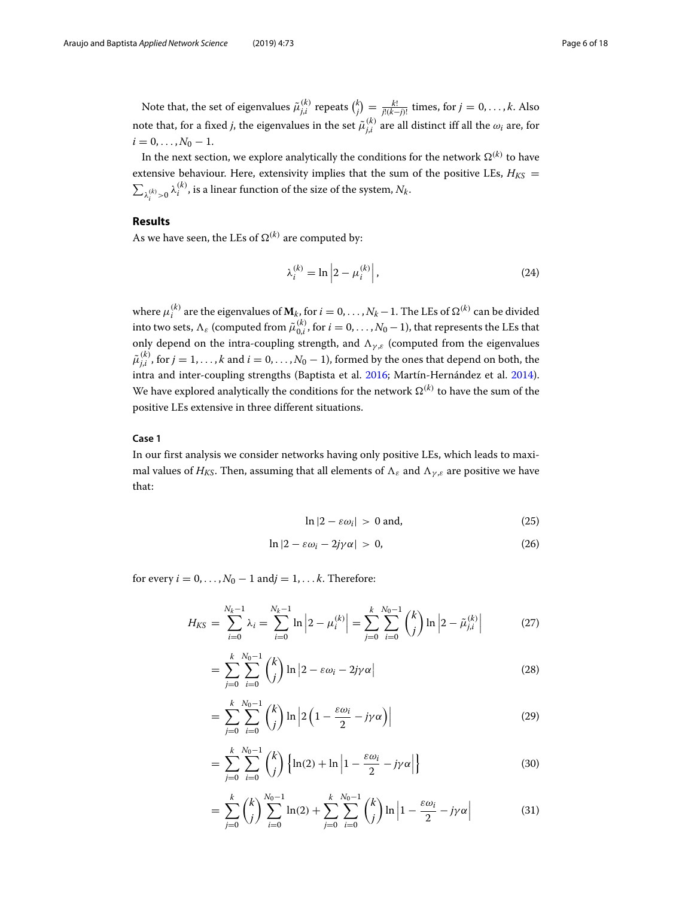Note that, the set of eigenvalues  $\tilde{\mu}_{j,i}^{(k)}$  repeats  $\binom{k}{j} = \frac{k!}{j!(k-j)!}$  times, for  $j = 0, \ldots, k$ . Also note that, for a fixed *j*, the eigenvalues in the set  $\tilde{\mu}^{(k)}_{j,i}$  are all distinct iff all the  $\omega_i$  are, for  $i = 0, \ldots, N_0 - 1.$ 

In the next section, we explore analytically the conditions for the network  $\Omega^{(k)}$  to have extensive behaviour. Here, extensivity implies that the sum of the positive LEs,  $H_{KS}$  =  $\sum_{\lambda_i^{(k)}>0} \lambda_i^{(k)}$ , is a linear function of the size of the system,  $N_k$ .

# **Results**

As we have seen, the LEs of  $\Omega^{(k)}$  are computed by:

$$
\lambda_i^{(k)} = \ln \left| 2 - \mu_i^{(k)} \right|,\tag{24}
$$

where  $\mu_i^{(k)}$  are the eigenvalues of  $\bm{M}_k$ , for  $i=0,\ldots,N_k-1.$  The LEs of  $\Omega^{(k)}$  can be divided into two sets,  $\Lambda_\varepsilon$  (computed from  $\tilde{\mu}^{(k)}_{0,i}$ , for  $i=0,\ldots,N_0-1)$ , that represents the LEs that only depend on the intra-coupling strength, and  $\Lambda_{\gamma,\varepsilon}$  (computed from the eigenvalues  $\tilde{\mu}^{(k)}_{j,i}$  , for  $j=1,\ldots,k$  and  $i=0,\ldots,N_0-1$ ), formed by the ones that depend on both, the intra and inter-coupling strengths (Baptista et al. [2016;](#page-17-21) Martín-Hernández et al. [2014\)](#page-17-22). We have explored analytically the conditions for the network  $\Omega^{(k)}$  to have the sum of the positive LEs extensive in three different situations.

# **Case 1**

In our first analysis we consider networks having only positive LEs, which leads to maximal values of *H<sub>KS</sub>*. Then, assuming that all elements of  $\Lambda_{\varepsilon}$  and  $\Lambda_{\gamma,\varepsilon}$  are positive we have that:

<span id="page-5-0"></span>
$$
\ln|2 - \varepsilon \omega_i| > 0 \text{ and,} \tag{25}
$$

$$
\ln|2 - \varepsilon \omega_i - 2j\gamma \alpha| > 0, \tag{26}
$$

for every  $i = 0, \ldots, N_0 - 1$  and $j = 1, \ldots k$ . Therefore:

$$
H_{KS} = \sum_{i=0}^{N_k - 1} \lambda_i = \sum_{i=0}^{N_k - 1} \ln \left| 2 - \mu_i^{(k)} \right| = \sum_{j=0}^{k} \sum_{i=0}^{N_0 - 1} {k \choose j} \ln \left| 2 - \tilde{\mu}_{j,i}^{(k)} \right| \tag{27}
$$

$$
= \sum_{j=0}^{k} \sum_{i=0}^{N_0-1} {k \choose j} \ln |2 - \varepsilon \omega_i - 2j\gamma \alpha| \tag{28}
$$

$$
= \sum_{j=0}^{k} \sum_{i=0}^{N_0-1} {k \choose j} \ln \left| 2 \left( 1 - \frac{\varepsilon \omega_i}{2} - j \gamma \alpha \right) \right| \tag{29}
$$

$$
= \sum_{j=0}^{k} \sum_{i=0}^{N_0-1} {k \choose j} \left\{ \ln(2) + \ln \left| 1 - \frac{\varepsilon \omega_i}{2} - j\gamma \alpha \right| \right\} \tag{30}
$$

$$
= \sum_{j=0}^{k} {k \choose j} \sum_{i=0}^{N_0-1} \ln(2) + \sum_{j=0}^{k} \sum_{i=0}^{N_0-1} {k \choose j} \ln \left| 1 - \frac{\varepsilon \omega_i}{2} - j\gamma \alpha \right|
$$
(31)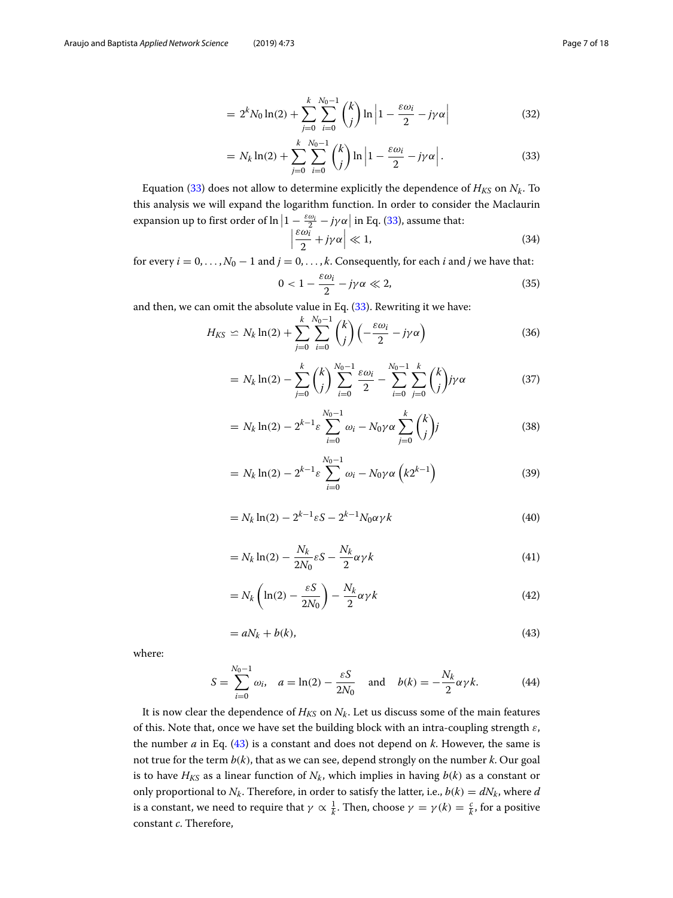<span id="page-6-0"></span>
$$
= 2^{k} N_0 \ln(2) + \sum_{j=0}^{k} \sum_{i=0}^{N_0 - 1} {k \choose j} \ln \left| 1 - \frac{\varepsilon \omega_i}{2} - j\gamma \alpha \right|
$$
 (32)

$$
= N_k \ln(2) + \sum_{j=0}^k \sum_{i=0}^{N_0-1} {k \choose j} \ln \left| 1 - \frac{\varepsilon \omega_i}{2} - j\gamma \alpha \right|.
$$
 (33)

Equation [\(33\)](#page-6-0) does not allow to determine explicitly the dependence of  $H_{KS}$  on  $N_k$ . To this analysis we will expand the logarithm function. In order to consider the Maclaurin expansion up to first order of  $\ln\left|1-\frac{\varepsilon\omega_i}{2}-j\gamma\alpha\right|$  in Eq. [\(33\)](#page-6-0), assume that:

<span id="page-6-2"></span>
$$
\left|\frac{\varepsilon\omega_i^2}{2} + j\gamma\alpha\right| \ll 1,\tag{34}
$$

for every  $i = 0, \ldots, N_0 - 1$  and  $j = 0, \ldots, k$ . Consequently, for each *i* and *j* we have that:

$$
0 < 1 - \frac{\varepsilon \omega_i}{2} - j\gamma \alpha \ll 2,\tag{35}
$$

and then, we can omit the absolute value in Eq. [\(33\)](#page-6-0). Rewriting it we have:

$$
H_{KS} \simeq N_k \ln(2) + \sum_{j=0}^k \sum_{i=0}^{N_0-1} {k \choose j} \left( -\frac{\varepsilon \omega_i}{2} - j\gamma \alpha \right)
$$
(36)

$$
= N_k \ln(2) - \sum_{j=0}^k {k \choose j} \sum_{i=0}^{N_0 - 1} \frac{\varepsilon \omega_i}{2} - \sum_{i=0}^{N_0 - 1} \sum_{j=0}^k {k \choose j} j \gamma \alpha
$$
 (37)

$$
= N_k \ln(2) - 2^{k-1} \varepsilon \sum_{i=0}^{N_0 - 1} \omega_i - N_0 \gamma \alpha \sum_{j=0}^k {k \choose j} j \tag{38}
$$

$$
= N_k \ln(2) - 2^{k-1} \varepsilon \sum_{i=0}^{N_0 - 1} \omega_i - N_0 \gamma \alpha \left( k 2^{k-1} \right)
$$
 (39)

$$
=N_k \ln(2) - 2^{k-1} \varepsilon S - 2^{k-1} N_0 \alpha \gamma k \tag{40}
$$

$$
= N_k \ln(2) - \frac{N_k}{2N_0} \varepsilon S - \frac{N_k}{2} \alpha \gamma k \tag{41}
$$

$$
=N_k \left( \ln(2) - \frac{\varepsilon S}{2N_0} \right) - \frac{N_k}{2} \alpha \gamma k \tag{42}
$$

$$
=aN_k+b(k),
$$
\n<sup>(43)</sup>

<span id="page-6-4"></span><span id="page-6-1"></span>where:

$$
S = \sum_{i=0}^{N_0 - 1} \omega_i, \quad a = \ln(2) - \frac{\varepsilon S}{2N_0} \quad \text{and} \quad b(k) = -\frac{N_k}{2} \alpha \gamma k. \tag{44}
$$

<span id="page-6-3"></span>It is now clear the dependence of  $H_{KS}$  on  $N_k$ . Let us discuss some of the main features of this. Note that, once we have set the building block with an intra-coupling strength  $\varepsilon$ , the number *a* in Eq. [\(43\)](#page-6-1) is a constant and does not depend on *k*. However, the same is not true for the term *b*(*k*), that as we can see, depend strongly on the number *k*. Our goal is to have  $H_{KS}$  as a linear function of  $N_k$ , which implies in having  $b(k)$  as a constant or only proportional to  $N_k$ . Therefore, in order to satisfy the latter, i.e.,  $b(k) = dN_k$ , where *d* is a constant, we need to require that  $\gamma \propto \frac{1}{k}$ . Then, choose  $\gamma = \gamma(k) = \frac{c}{k}$ , for a positive constant *c*. Therefore,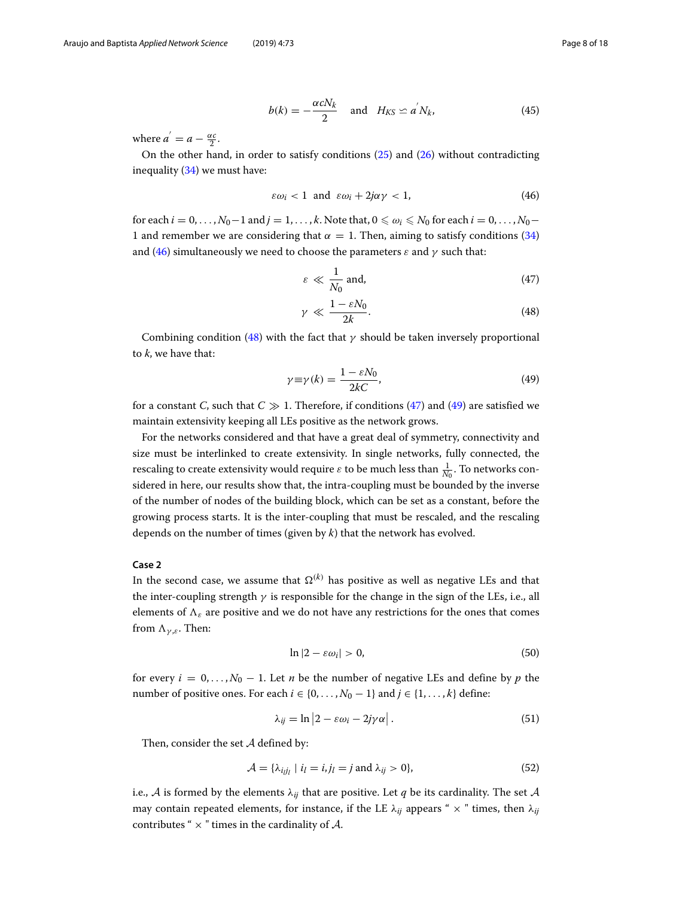$$
b(k) = -\frac{\alpha c N_k}{2} \quad \text{and} \quad H_{KS} \simeq a' N_k,\tag{45}
$$

where  $a^{'} = a - \frac{\alpha c}{2}$ .

On the other hand, in order to satisfy conditions [\(25\)](#page-5-0) and [\(26\)](#page-5-0) without contradicting inequality [\(34\)](#page-6-2) we must have:

<span id="page-7-0"></span>
$$
\varepsilon \omega_i < 1 \text{ and } \varepsilon \omega_i + 2j\alpha \gamma < 1, \tag{46}
$$

for each  $i = 0, \ldots, N_0-1$  and  $j = 1, \ldots, k$ . Note that,  $0 \le \omega_i \le N_0$  for each  $i = 0, \ldots, N_0-1$ 1 and remember we are considering that  $\alpha = 1$ . Then, aiming to satisfy conditions [\(34\)](#page-6-2) and [\(46\)](#page-7-0) simultaneously we need to choose the parameters  $\varepsilon$  and  $\gamma$  such that:

<span id="page-7-1"></span>
$$
\varepsilon \ll \frac{1}{N_0} \text{ and,} \tag{47}
$$

$$
\gamma \ll \frac{1 - \varepsilon N_0}{2k}.\tag{48}
$$

Combining condition [\(48\)](#page-7-1) with the fact that  $\gamma$  should be taken inversely proportional to *k*, we have that:

<span id="page-7-2"></span>
$$
\gamma \equiv \gamma(k) = \frac{1 - \varepsilon N_0}{2kC},\tag{49}
$$

for a constant *C*, such that  $C \gg 1$ . Therefore, if conditions [\(47\)](#page-7-1) and [\(49\)](#page-7-2) are satisfied we maintain extensivity keeping all LEs positive as the network grows.

For the networks considered and that have a great deal of symmetry, connectivity and size must be interlinked to create extensivity. In single networks, fully connected, the rescaling to create extensivity would require  $\varepsilon$  to be much less than  $\frac{1}{N_0}.$  To networks considered in here, our results show that, the intra-coupling must be bounded by the inverse of the number of nodes of the building block, which can be set as a constant, before the growing process starts. It is the inter-coupling that must be rescaled, and the rescaling depends on the number of times (given by *k*) that the network has evolved.

# **Case 2**

In the second case, we assume that  $\Omega^{(k)}$  has positive as well as negative LEs and that the inter-coupling strength  $\gamma$  is responsible for the change in the sign of the LEs, i.e., all elements of  $\Lambda_{\varepsilon}$  are positive and we do not have any restrictions for the ones that comes from  $\Lambda_{\gamma,\varepsilon}$ . Then:

<span id="page-7-4"></span><span id="page-7-3"></span>
$$
\ln|2 - \varepsilon \omega_i| > 0,\tag{50}
$$

for every  $i = 0, \ldots, N_0 - 1$ . Let *n* be the number of negative LEs and define by *p* the number of positive ones. For each  $i \in \{0, ..., N_0 - 1\}$  and  $j \in \{1, ..., k\}$  define:

$$
\lambda_{ij} = \ln |2 - \varepsilon \omega_i - 2j\gamma \alpha|.
$$
 (51)

Then, consider the set  $A$  defined by:

$$
\mathcal{A} = \{\lambda_{ijj_l} \mid i_l = i, j_l = j \text{ and } \lambda_{ij} > 0\},\tag{52}
$$

i.e., A is formed by the elements  $\lambda_{ij}$  that are positive. Let q be its cardinality. The set A may contain repeated elements, for instance, if the LE  $\lambda_{ij}$  appears "  $\times$  " times, then  $\lambda_{ij}$ contributes "  $\times$  " times in the cardinality of A.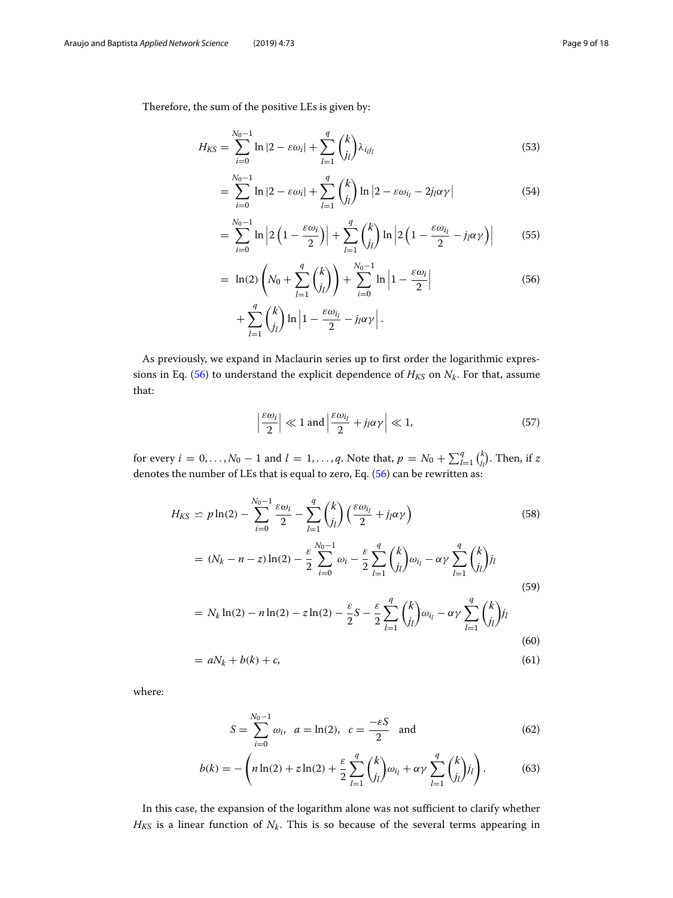Therefore, the sum of the positive LEs is given by:

$$
H_{KS} = \sum_{i=0}^{N_0 - 1} \ln|2 - \varepsilon \omega_i| + \sum_{l=1}^{q} {k \choose j_l} \lambda_{i_l j_l}
$$
(53)

$$
= \sum_{i=0}^{N_0-1} \ln|2 - \varepsilon \omega_i| + \sum_{l=1}^q {k \choose l} \ln|2 - \varepsilon \omega_{l_l} - 2j_l \alpha \gamma| \tag{54}
$$

$$
= \sum_{i=0}^{N_0-1} \ln \left| 2\left(1 - \frac{\varepsilon \omega_i}{2}\right) \right| + \sum_{l=1}^q {k \choose l_l} \ln \left| 2\left(1 - \frac{\varepsilon \omega_{l_l}}{2} - j_l \alpha \gamma\right) \right| \tag{55}
$$

$$
= \ln(2) \left( N_0 + \sum_{l=1}^{q} {k \choose j_l} \right) + \sum_{i=0}^{N_0 - 1} \ln \left| 1 - \frac{\varepsilon \omega_i}{2} \right|
$$
 (56)

<span id="page-8-0"></span>
$$
+\sum_{l=1}^q {k \choose j_l} \ln \left|1-\frac{\varepsilon \omega_{i_l}}{2}-j_l \alpha \gamma\right|.
$$

<span id="page-8-2"></span>As previously, we expand in Maclaurin series up to first order the logarithmic expres-sions in Eq. [\(56\)](#page-8-0) to understand the explicit dependence of  $H_{KS}$  on  $N_k$ . For that, assume that:

$$
\left|\frac{\varepsilon\omega_i}{2}\right| \ll 1 \text{ and } \left|\frac{\varepsilon\omega_{i_l}}{2} + j_l \alpha \gamma\right| \ll 1,
$$
\n(57)

for every  $i = 0, \ldots, N_0 - 1$  and  $l = 1, \ldots, q$ . Note that,  $p = N_0 + \sum_{l=1}^q {k \choose j_l}$ . Then, if  $z$ denotes the number of LEs that is equal to zero, Eq. [\(56\)](#page-8-0) can be rewritten as:

<span id="page-8-1"></span>
$$
H_{KS} \simeq p \ln(2) - \sum_{i=0}^{N_0 - 1} \frac{\varepsilon \omega_i}{2} - \sum_{l=1}^q {k \choose l_l} \left( \frac{\varepsilon \omega_{i_l}}{2} + j_l \alpha \gamma \right)
$$
(58)  

$$
= (N_k - n - z) \ln(2) - \frac{\varepsilon}{2} \sum_{i=0}^{N_0 - 1} \omega_i - \frac{\varepsilon}{2} \sum_{l=1}^q {k \choose j_l} \omega_{i_l} - \alpha \gamma \sum_{l=1}^q {k \choose j_l} j_l
$$
  

$$
= N_k \ln(2) - n \ln(2) - z \ln(2) - \frac{\varepsilon}{2} S - \frac{\varepsilon}{2} \sum_{l=1}^q {k \choose j_l} \omega_{i_l} - \alpha \gamma \sum_{l=1}^q {k \choose j_l} j_l
$$
(59)

$$
= aN_k + b(k) + c,\tag{61}
$$

where:

$$
S = \sum_{i=0}^{N_0 - 1} \omega_i, \ \ a = \ln(2), \ \ c = \frac{-\varepsilon S}{2} \ \text{ and } \tag{62}
$$

<span id="page-8-3"></span>
$$
b(k) = -\left(n\ln(2) + z\ln(2) + \frac{\varepsilon}{2} \sum_{l=1}^{q} {k \choose j_l} \omega_{i_l} + \alpha \gamma \sum_{l=1}^{q} {k \choose j_l} j_l\right).
$$
 (63)

In this case, the expansion of the logarithm alone was not sufficient to clarify whether  $H_{KS}$  is a linear function of  $N_k$ . This is so because of the several terms appearing in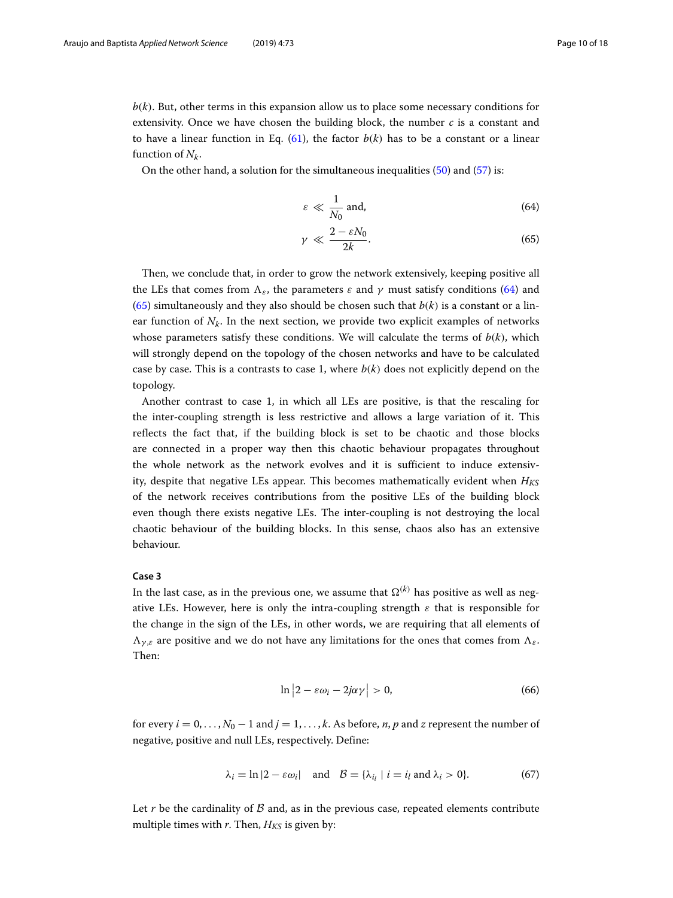$b(k)$ . But, other terms in this expansion allow us to place some necessary conditions for extensivity. Once we have chosen the building block, the number *c* is a constant and to have a linear function in Eq. [\(61\)](#page-8-1), the factor  $b(k)$  has to be a constant or a linear function of  $N_k$ .

On the other hand, a solution for the simultaneous inequalities [\(50\)](#page-7-3) and [\(57\)](#page-8-2) is:

<span id="page-9-0"></span>
$$
\varepsilon \ll \frac{1}{N_0} \text{ and,} \tag{64}
$$

$$
\gamma \ll \frac{2 - \varepsilon N_0}{2k}.\tag{65}
$$

Then, we conclude that, in order to grow the network extensively, keeping positive all the LEs that comes from  $\Lambda_{\varepsilon}$ , the parameters  $\varepsilon$  and  $\gamma$  must satisfy conditions [\(64\)](#page-9-0) and [\(65\)](#page-9-0) simultaneously and they also should be chosen such that  $b(k)$  is a constant or a linear function of  $N_k$ . In the next section, we provide two explicit examples of networks whose parameters satisfy these conditions. We will calculate the terms of  $b(k)$ , which will strongly depend on the topology of the chosen networks and have to be calculated case by case. This is a contrasts to case 1, where  $b(k)$  does not explicitly depend on the topology.

Another contrast to case 1, in which all LEs are positive, is that the rescaling for the inter-coupling strength is less restrictive and allows a large variation of it. This reflects the fact that, if the building block is set to be chaotic and those blocks are connected in a proper way then this chaotic behaviour propagates throughout the whole network as the network evolves and it is sufficient to induce extensivity, despite that negative LEs appear. This becomes mathematically evident when *HKS* of the network receives contributions from the positive LEs of the building block even though there exists negative LEs. The inter-coupling is not destroying the local chaotic behaviour of the building blocks. In this sense, chaos also has an extensive behaviour.

### **Case 3**

<span id="page-9-1"></span>In the last case, as in the previous one, we assume that  $\Omega^{(k)}$  has positive as well as negative LEs. However, here is only the intra-coupling strength  $\varepsilon$  that is responsible for the change in the sign of the LEs, in other words, we are requiring that all elements of  $\Lambda_{\gamma,\varepsilon}$  are positive and we do not have any limitations for the ones that comes from  $\Lambda_{\varepsilon}$ . Then:

$$
\ln|2 - \varepsilon \omega_i - 2j\alpha \gamma| > 0, \tag{66}
$$

for every  $i = 0, \ldots, N_0 - 1$  and  $j = 1, \ldots, k$ . As before, *n*, *p* and *z* represent the number of negative, positive and null LEs, respectively. Define:

$$
\lambda_i = \ln|2 - \varepsilon \omega_i| \quad \text{and} \quad \mathcal{B} = \{\lambda_{i_l} \mid i = i_l \text{ and } \lambda_i > 0\}. \tag{67}
$$

Let  $r$  be the cardinality of  $\beta$  and, as in the previous case, repeated elements contribute multiple times with  $r$ . Then,  $H_{KS}$  is given by: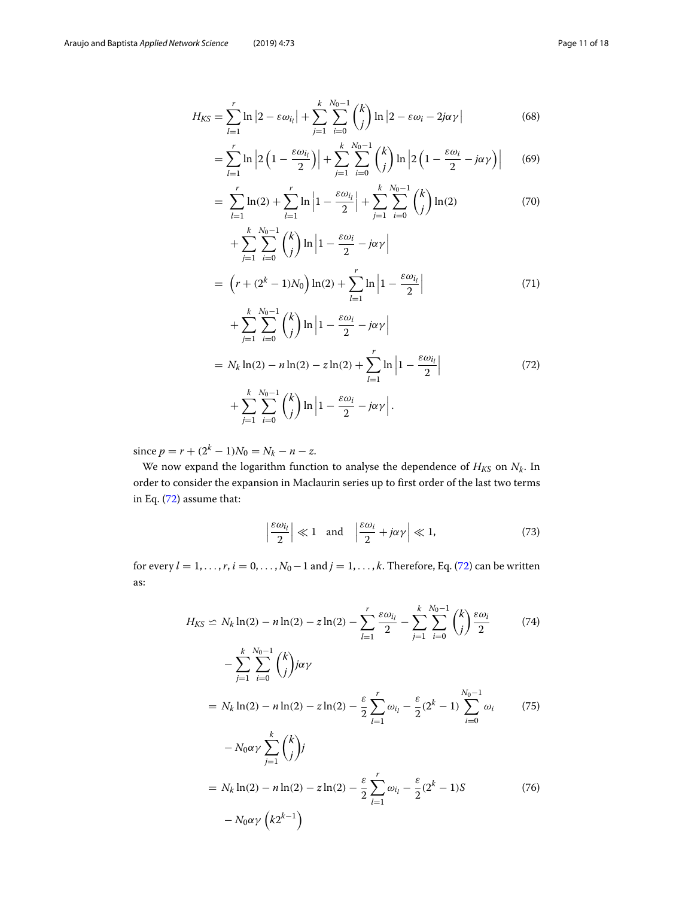$$
H_{KS} = \sum_{l=1}^{r} \ln |2 - \varepsilon \omega_{i_l}| + \sum_{j=1}^{k} \sum_{i=0}^{N_0 - 1} {k \choose j} \ln |2 - \varepsilon \omega_i - 2j\alpha\gamma| \tag{68}
$$

$$
= \sum_{l=1}^{r} \ln \left| 2 \left( 1 - \frac{\varepsilon \omega_{i_l}}{2} \right) \right| + \sum_{j=1}^{k} \sum_{i=0}^{N_0 - 1} {k \choose j} \ln \left| 2 \left( 1 - \frac{\varepsilon \omega_i}{2} - j \alpha \gamma \right) \right| \tag{69}
$$

$$
= \sum_{l=1}^{r} \ln(2) + \sum_{l=1}^{r} \ln\left|1 - \frac{\varepsilon \omega_{i_l}}{2}\right| + \sum_{j=1}^{k} \sum_{i=0}^{N_0 - 1} {k \choose j} \ln(2) \tag{70}
$$

$$
+\sum_{j=1}^{k}\sum_{i=0}^{N_0-1} {k \choose j} \ln \left| 1 - \frac{\varepsilon \omega_i}{2} - j\alpha \gamma \right|
$$
  
= 
$$
\left(r + (2^k - 1)N_0\right) \ln(2) + \sum_{l=1}^{r} \ln \left| 1 - \frac{\varepsilon \omega_{l_l}}{2} \right|
$$
 (71)

<span id="page-10-0"></span>
$$
+\sum_{j=1}^{k}\sum_{i=0}^{N_0-1} {k \choose j} \ln \left|1 - \frac{\varepsilon \omega_i}{2} - j\alpha \gamma\right|
$$

$$
= N_k \ln(2) - n \ln(2) - z \ln(2) + \sum_{l=1}^r \ln \left| 1 - \frac{\varepsilon \omega_{l_l}}{2} \right|
$$
  
+ 
$$
\sum_{j=1}^k \sum_{i=0}^{N_0-1} {k \choose j} \ln \left| 1 - \frac{\varepsilon \omega_i}{2} - j \alpha \gamma \right|.
$$
 (72)

since  $p = r + (2^k - 1)N_0 = N_k - n - z$ .

We now expand the logarithm function to analyse the dependence of  $H_{KS}$  on  $N_k$ . In order to consider the expansion in Maclaurin series up to first order of the last two terms in Eq. [\(72\)](#page-10-0) assume that:

<span id="page-10-1"></span>
$$
\left|\frac{\varepsilon\omega_{i_l}}{2}\right| \ll 1 \quad \text{and} \quad \left|\frac{\varepsilon\omega_i}{2} + j\alpha\gamma\right| \ll 1,\tag{73}
$$

for every  $l = 1, \ldots, r$ ,  $i = 0, \ldots, N_0 - 1$  and  $j = 1, \ldots, k$ . Therefore, Eq. [\(72\)](#page-10-0) can be written as:

$$
H_{KS} \simeq N_k \ln(2) - n \ln(2) - z \ln(2) - \sum_{l=1}^r \frac{\varepsilon \omega_{i_l}}{2} - \sum_{j=1}^k \sum_{i=0}^{N_0 - 1} {k \choose j} \frac{\varepsilon \omega_i}{2}
$$
(74)

$$
-\sum_{j=1}^{k} \sum_{i=0}^{N_0-1} {k \choose j} j \alpha \gamma
$$
  
=  $N_k \ln(2) - n \ln(2) - z \ln(2) - \frac{\varepsilon}{2} \sum_{l=1}^{r} \omega_{i_l} - \frac{\varepsilon}{2} (2^k - 1) \sum_{i=0}^{N_0-1} \omega_i$  (75)

$$
- N_0 \alpha \gamma \sum_{j=1}^k {k \choose j} j
$$
  
=  $N_k \ln(2) - n \ln(2) - z \ln(2) - \frac{\varepsilon}{2} \sum_{l=1}^r \omega_{i_l} - \frac{\varepsilon}{2} (2^k - 1) S$  (76)  
 $- N_0 \alpha \gamma (k 2^{k-1})$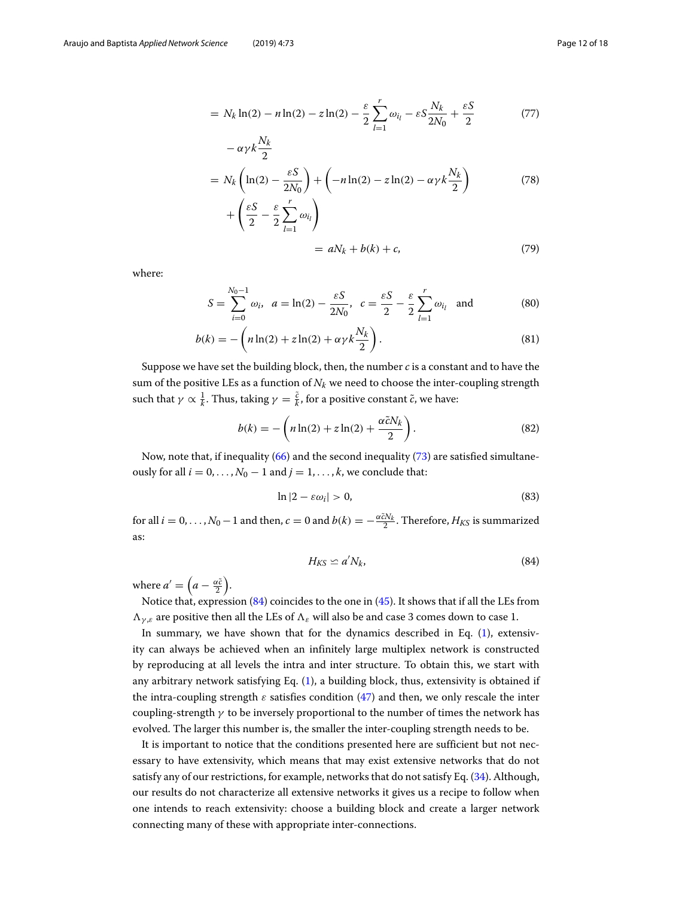$$
= N_k \ln(2) - n \ln(2) - z \ln(2) - \frac{\varepsilon}{2} \sum_{l=1}^r \omega_{i_l} - \varepsilon S \frac{N_k}{2N_0} + \frac{\varepsilon S}{2}
$$
(77)

$$
-\alpha \gamma k \frac{N_k}{2}
$$
  
=  $N_k \left( \ln(2) - \frac{\varepsilon S}{2N_0} \right) + \left( -n \ln(2) - z \ln(2) - \alpha \gamma k \frac{N_k}{2} \right)$  (78)  
+  $\left( \frac{\varepsilon S}{2} - \frac{\varepsilon}{2} \sum_{l=1}^r \omega_{l_l} \right)$ 

$$
= aN_k + b(k) + c,\t\t(79)
$$

where:

$$
S = \sum_{i=0}^{N_0 - 1} \omega_i, \ \ a = \ln(2) - \frac{\varepsilon S}{2N_0}, \ \ c = \frac{\varepsilon S}{2} - \frac{\varepsilon}{2} \sum_{l=1}^r \omega_{l_l} \quad \text{and} \tag{80}
$$

$$
b(k) = -\left(n\ln(2) + z\ln(2) + \alpha\gamma k \frac{N_k}{2}\right).
$$
\n(81)

Suppose we have set the building block, then, the number *c* is a constant and to have the sum of the positive LEs as a function of  $N_k$  we need to choose the inter-coupling strength such that  $\gamma \propto \frac{1}{k}$ . Thus, taking  $\gamma = \frac{\tilde{c}}{k}$ , for a positive constant  $\tilde{c}$ , we have:

$$
b(k) = -\left(n\ln(2) + z\ln(2) + \frac{\alpha \tilde{c} N_k}{2}\right).
$$
\n(82)

Now, note that, if inequality [\(66\)](#page-9-1) and the second inequality [\(73\)](#page-10-1) are satisfied simultaneously for all  $i = 0, \ldots, N_0 - 1$  and  $j = 1, \ldots, k$ , we conclude that:

$$
\ln|2 - \varepsilon \omega_i| > 0, \tag{83}
$$

<span id="page-11-0"></span>for all  $i = 0, ..., N_0 - 1$  and then,  $c = 0$  and  $b(k) = -\frac{\alpha \tilde{c} N_k}{2}$ . Therefore,  $H_{KS}$  is summarized as:

$$
H_{KS} \simeq a' N_k, \tag{84}
$$

where  $a' = \left(a - \frac{\alpha \tilde{c}}{2}\right)$ .

Notice that, expression [\(84\)](#page-11-0) coincides to the one in [\(45\)](#page-6-3). It shows that if all the LEs from  $\Lambda_{\gamma,\varepsilon}$  are positive then all the LEs of  $\Lambda_{\varepsilon}$  will also be and case 3 comes down to case 1.

In summary, we have shown that for the dynamics described in Eq. [\(1\)](#page-2-1), extensivity can always be achieved when an infinitely large multiplex network is constructed by reproducing at all levels the intra and inter structure. To obtain this, we start with any arbitrary network satisfying Eq. [\(1\)](#page-2-1), a building block, thus, extensivity is obtained if the intra-coupling strength  $\varepsilon$  satisfies condition [\(47\)](#page-7-1) and then, we only rescale the inter coupling-strength  $\gamma$  to be inversely proportional to the number of times the network has evolved. The larger this number is, the smaller the inter-coupling strength needs to be.

It is important to notice that the conditions presented here are sufficient but not necessary to have extensivity, which means that may exist extensive networks that do not satisfy any of our restrictions, for example, networks that do not satisfy Eq. [\(34\)](#page-6-2). Although, our results do not characterize all extensive networks it gives us a recipe to follow when one intends to reach extensivity: choose a building block and create a larger network connecting many of these with appropriate inter-connections.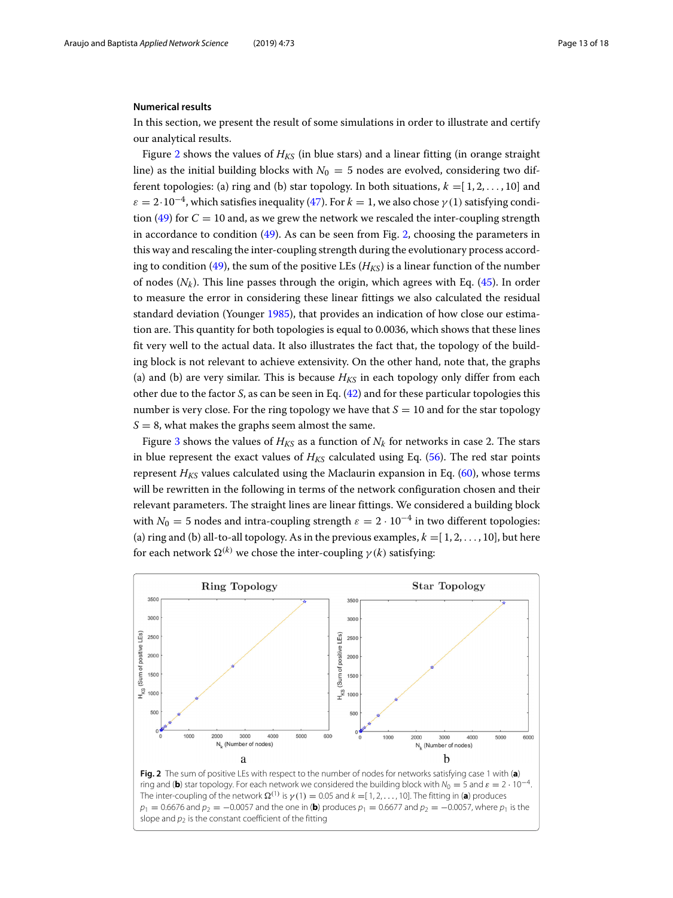## **Numerical results**

In this section, we present the result of some simulations in order to illustrate and certify our analytical results.

Figure [2](#page-12-0) shows the values of  $H_{K<sub>S</sub>}$  (in blue stars) and a linear fitting (in orange straight line) as the initial building blocks with  $N_0 = 5$  nodes are evolved, considering two different topologies: (a) ring and (b) star topology. In both situations,  $k = [1, 2, \ldots, 10]$  and  $\varepsilon = 2 \cdot 10^{-4}$ , which satisfies inequality [\(47\)](#page-7-1). For  $k = 1$ , we also chose  $\gamma(1)$  satisfying condi-tion [\(49\)](#page-7-2) for  $C = 10$  and, as we grew the network we rescaled the inter-coupling strength in accordance to condition [\(49\)](#page-7-2). As can be seen from Fig. [2,](#page-12-0) choosing the parameters in this way and rescaling the inter-coupling strength during the evolutionary process accord-ing to condition [\(49\)](#page-7-2), the sum of the positive LEs ( $H_{KS}$ ) is a linear function of the number of nodes  $(N_k)$ . This line passes through the origin, which agrees with Eq. [\(45\)](#page-6-3). In order to measure the error in considering these linear fittings we also calculated the residual standard deviation (Younger [1985\)](#page-17-23), that provides an indication of how close our estimation are. This quantity for both topologies is equal to 0.0036, which shows that these lines fit very well to the actual data. It also illustrates the fact that, the topology of the building block is not relevant to achieve extensivity. On the other hand, note that, the graphs (a) and (b) are very similar. This is because  $H_{KS}$  in each topology only differ from each other due to the factor *S*, as can be seen in Eq. [\(42\)](#page-6-4) and for these particular topologies this number is very close. For the ring topology we have that  $S = 10$  and for the star topology  $S = 8$ , what makes the graphs seem almost the same.

Figure [3](#page-13-0) shows the values of  $H_{KS}$  as a function of  $N_k$  for networks in case 2. The stars in blue represent the exact values of  $H_{KS}$  calculated using Eq. [\(56\)](#page-8-0). The red star points represent  $H_{KS}$  values calculated using the Maclaurin expansion in Eq. [\(60\)](#page-8-1), whose terms will be rewritten in the following in terms of the network configuration chosen and their relevant parameters. The straight lines are linear fittings. We considered a building block with  $N_0 = 5$  nodes and intra-coupling strength  $\varepsilon = 2 \cdot 10^{-4}$  in two different topologies: (a) ring and (b) all-to-all topology. As in the previous examples,  $k = [1, 2, \ldots, 10]$ , but here for each network  $\Omega^{(k)}$  we chose the inter-coupling  $γ(k)$  satisfying:

<span id="page-12-1"></span>

<span id="page-12-0"></span>ring and (**b**) star topology. For each network we considered the building block with  $N_0 = 5$  and  $\varepsilon = 2 \cdot 10^{-4}$ . The inter-coupling of the network  $\Omega^{(1)}$  is  $\gamma(1) = 0.05$  and  $k =$  [1, 2, . . . , 10]. The fitting in (**a**) produces  $p_1 = 0.6676$  and  $p_2 = -0.0057$  and the one in (**b**) produces  $p_1 = 0.6677$  and  $p_2 = -0.0057$ , where  $p_1$  is the slope and  $p_2$  is the constant coefficient of the fitting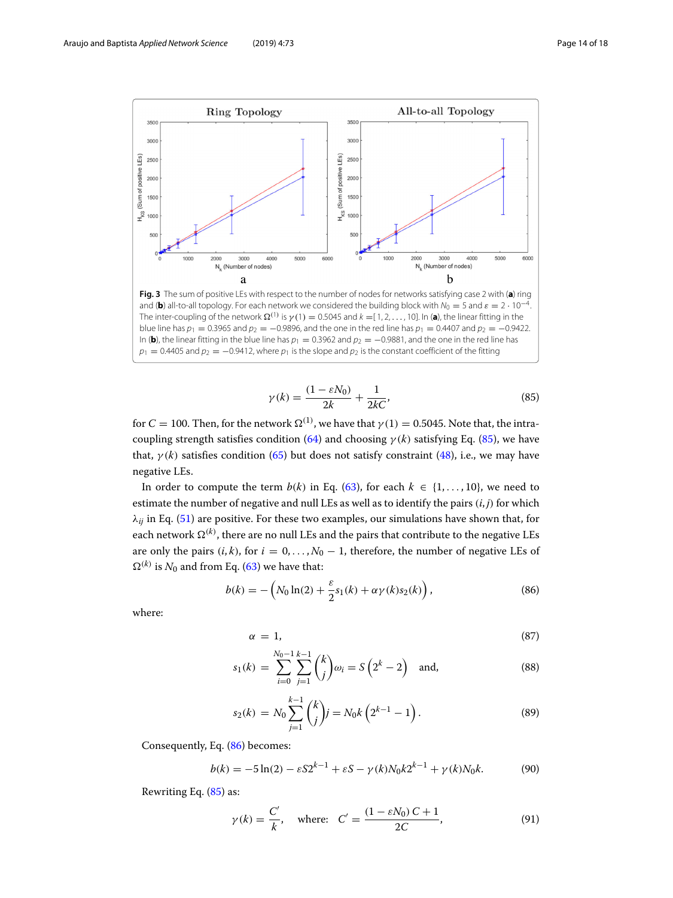

<span id="page-13-0"></span>and (**b**) all-to-all topology. For each network we considered the building block with  $N_0 = 5$  and  $\varepsilon = 2 \cdot 10^{-4}$ . The inter-coupling of the network  $\Omega^{(1)}$  is  $\gamma(1) = 0.5045$  and  $k = [1, 2, ..., 10]$ . In (**a**), the linear fitting in the blue line has  $p_1 = 0.3965$  and  $p_2 = -0.9896$ , and the one in the red line has  $p_1 = 0.4407$  and  $p_2 = -0.9422$ . In (**b**), the linear fitting in the blue line has  $p_1 = 0.3962$  and  $p_2 = -0.9881$ , and the one in the red line has  $p_1 = 0.4405$  and  $p_2 = -0.9412$ , where  $p_1$  is the slope and  $p_2$  is the constant coefficient of the fitting

$$
\gamma(k) = \frac{(1 - \varepsilon N_0)}{2k} + \frac{1}{2kC},\tag{85}
$$

for  $C = 100$ . Then, for the network  $\Omega^{(1)}$ , we have that  $\gamma(1) = 0.5045$ . Note that, the intra-coupling strength satisfies condition [\(64\)](#page-9-0) and choosing  $\gamma(k)$  satisfying Eq. [\(85\)](#page-12-1), we have that,  $\gamma(k)$  satisfies condition [\(65\)](#page-9-0) but does not satisfy constraint [\(48\)](#page-7-1), i.e., we may have negative LEs.

In order to compute the term  $b(k)$  in Eq. [\(63\)](#page-8-3), for each  $k \in \{1, \ldots, 10\}$ , we need to estimate the number of negative and null LEs as well as to identify the pairs (*i*, *j*) for which  $\lambda_{ij}$  in Eq. [\(51\)](#page-7-4) are positive. For these two examples, our simulations have shown that, for each network  $\Omega^{(k)}$ , there are no null LEs and the pairs that contribute to the negative LEs are only the pairs  $(i, k)$ , for  $i = 0, \ldots, N_0 - 1$ , therefore, the number of negative LEs of  $\Omega^{(k)}$  is  $N_0$  and from Eq. [\(63\)](#page-8-3) we have that:

<span id="page-13-1"></span>
$$
b(k) = -\left(N_0 \ln(2) + \frac{\varepsilon}{2} s_1(k) + \alpha \gamma(k) s_2(k)\right),
$$
 (86)

where:

$$
\alpha = 1,\tag{87}
$$

$$
s_1(k) = \sum_{i=0}^{N_0-1} \sum_{j=1}^{k-1} {k \choose j} \omega_i = S(2^k - 2) \text{ and,}
$$
 (88)

$$
s_2(k) = N_0 \sum_{j=1}^{k-1} {k \choose j} j = N_0 k \left( 2^{k-1} - 1 \right).
$$
 (89)

Consequently, Eq. [\(86\)](#page-13-1) becomes:

$$
b(k) = -5\ln(2) - \varepsilon S 2^{k-1} + \varepsilon S - \gamma(k) N_0 k 2^{k-1} + \gamma(k) N_0 k. \tag{90}
$$

Rewriting Eq. [\(85\)](#page-12-1) as:

$$
\gamma(k) = \frac{C'}{k}
$$
, where:  $C' = \frac{(1 - \varepsilon N_0) C + 1}{2C}$ , (91)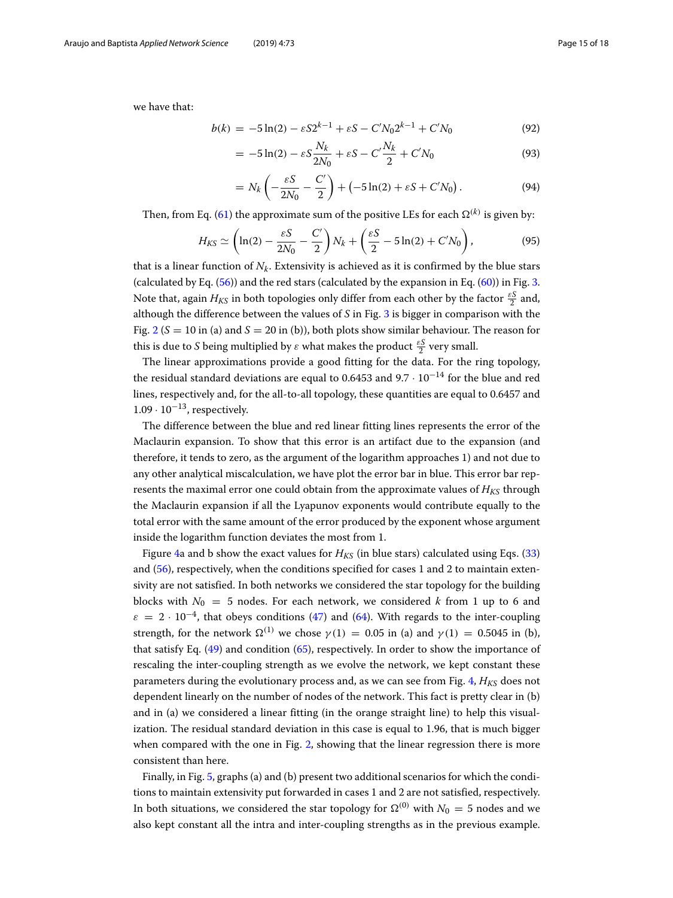we have that:

$$
b(k) = -5\ln(2) - \varepsilon S 2^{k-1} + \varepsilon S - C' N_0 2^{k-1} + C' N_0
$$
\n(92)

$$
= -5\ln(2) - \varepsilon S \frac{N_k}{2N_0} + \varepsilon S - C' \frac{N_k}{2} + C' N_0
$$
\n(93)

$$
= N_k \left( -\frac{\varepsilon S}{2N_0} - \frac{C'}{2} \right) + \left( -5\ln(2) + \varepsilon S + C' N_0 \right). \tag{94}
$$

Then, from Eq. [\(61\)](#page-8-1) the approximate sum of the positive LEs for each  $\Omega^{(k)}$  is given by:

$$
H_{KS} \simeq \left(\ln(2) - \frac{\varepsilon S}{2N_0} - \frac{C'}{2}\right)N_k + \left(\frac{\varepsilon S}{2} - 5\ln(2) + C'N_0\right),\tag{95}
$$

that is a linear function of  $N_k$ . Extensivity is achieved as it is confirmed by the blue stars (calculated by Eq.  $(56)$ ) and the red stars (calculated by the expansion in Eq.  $(60)$ ) in Fig. [3.](#page-13-0) Note that, again  $H_{K\!S}$  in both topologies only differ from each other by the factor  $\frac{\varepsilon S}{2}$  and, although the difference between the values of *S* in Fig. [3](#page-13-0) is bigger in comparison with the Fig.  $2 (S = 10$  $2 (S = 10$  in (a) and  $S = 20$  in (b)), both plots show similar behaviour. The reason for this is due to *S* being multiplied by  $\varepsilon$  what makes the product  $\frac{\varepsilon S}{2}$  very small.

The linear approximations provide a good fitting for the data. For the ring topology, the residual standard deviations are equal to 0.6453 and  $9.7 \cdot 10^{-14}$  for the blue and red lines, respectively and, for the all-to-all topology, these quantities are equal to 0.6457 and  $1.09 \cdot 10^{-13}$ , respectively.

The difference between the blue and red linear fitting lines represents the error of the Maclaurin expansion. To show that this error is an artifact due to the expansion (and therefore, it tends to zero, as the argument of the logarithm approaches 1) and not due to any other analytical miscalculation, we have plot the error bar in blue. This error bar represents the maximal error one could obtain from the approximate values of  $H_{K<sub>S</sub>}$  through the Maclaurin expansion if all the Lyapunov exponents would contribute equally to the total error with the same amount of the error produced by the exponent whose argument inside the logarithm function deviates the most from 1.

Figure [4a](#page-15-0) and b show the exact values for  $H_{K<sub>S</sub>}$  (in blue stars) calculated using Eqs. [\(33\)](#page-6-0) and [\(56\)](#page-8-0), respectively, when the conditions specified for cases 1 and 2 to maintain extensivity are not satisfied. In both networks we considered the star topology for the building blocks with  $N_0 = 5$  nodes. For each network, we considered k from 1 up to 6 and  $\varepsilon = 2 \cdot 10^{-4}$ , that obeys conditions [\(47\)](#page-7-1) and [\(64\)](#page-9-0). With regards to the inter-coupling strength, for the network  $\Omega^{(1)}$  we chose  $\gamma(1) = 0.05$  in (a) and  $\gamma(1) = 0.5045$  in (b), that satisfy Eq. [\(49\)](#page-7-2) and condition [\(65\)](#page-9-0), respectively. In order to show the importance of rescaling the inter-coupling strength as we evolve the network, we kept constant these parameters during the evolutionary process and, as we can see from Fig. [4,](#page-15-0) *H<sub>KS</sub>* does not dependent linearly on the number of nodes of the network. This fact is pretty clear in (b) and in (a) we considered a linear fitting (in the orange straight line) to help this visualization. The residual standard deviation in this case is equal to 1.96, that is much bigger when compared with the one in Fig. [2,](#page-12-0) showing that the linear regression there is more consistent than here.

Finally, in Fig. [5,](#page-15-1) graphs (a) and (b) present two additional scenarios for which the conditions to maintain extensivity put forwarded in cases 1 and 2 are not satisfied, respectively. In both situations, we considered the star topology for  $\Omega^{(0)}$  with  $N_0 = 5$  nodes and we also kept constant all the intra and inter-coupling strengths as in the previous example.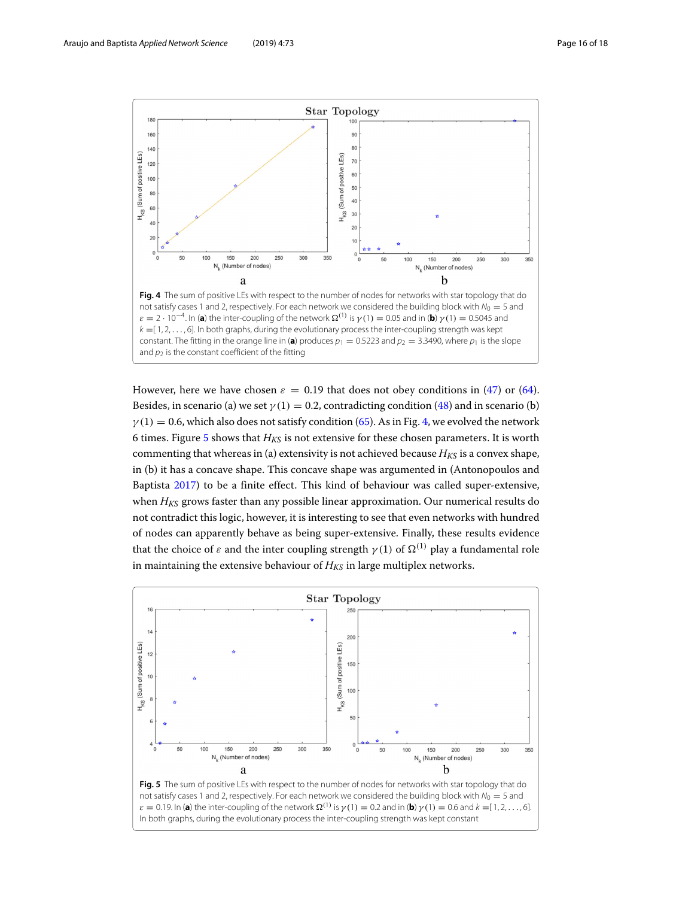

<span id="page-15-0"></span>However, here we have chosen  $\varepsilon = 0.19$  that does not obey conditions in [\(47\)](#page-7-1) or [\(64\)](#page-9-0). Besides, in scenario (a) we set  $\gamma(1) = 0.2$ , contradicting condition [\(48\)](#page-7-1) and in scenario (b)  $\gamma(1) = 0.6$ , which also does not satisfy condition [\(65\)](#page-9-0). As in Fig. [4,](#page-15-0) we evolved the network 6 times. Figure  $5$  shows that  $H_{KS}$  is not extensive for these chosen parameters. It is worth commenting that whereas in (a) extensivity is not achieved because  $H_{KS}$  is a convex shape, in (b) it has a concave shape. This concave shape was argumented in (Antonopoulos and Baptista [2017\)](#page-17-20) to be a finite effect. This kind of behaviour was called super-extensive, when  $H_{KS}$  grows faster than any possible linear approximation. Our numerical results do not contradict this logic, however, it is interesting to see that even networks with hundred of nodes can apparently behave as being super-extensive. Finally, these results evidence that the choice of  $\varepsilon$  and the inter coupling strength  $\gamma(1)$  of  $\Omega^{(1)}$  play a fundamental role in maintaining the extensive behaviour of  $H_{KS}$  in large multiplex networks.

<span id="page-15-1"></span>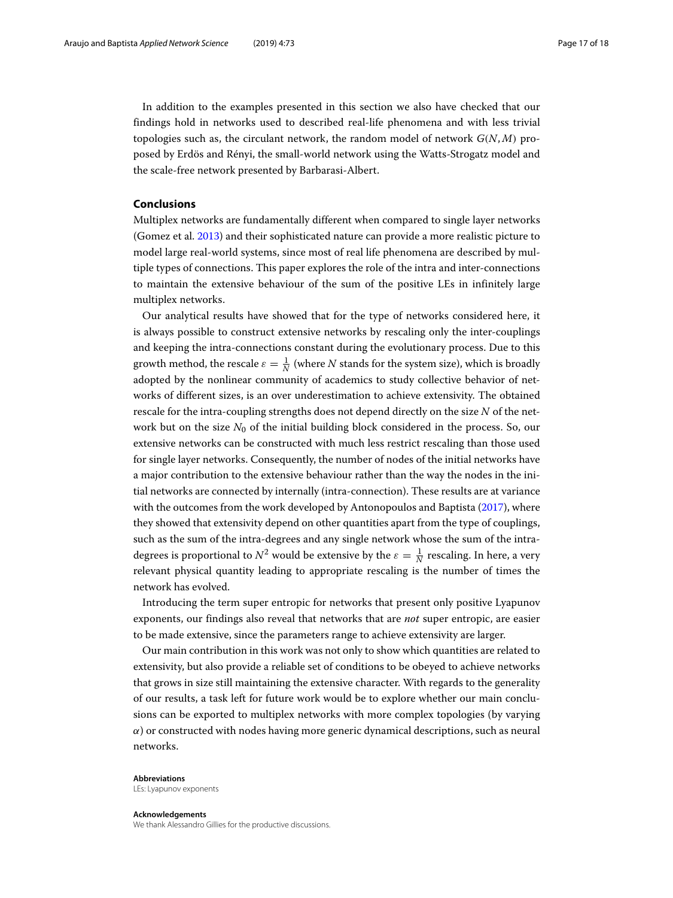In addition to the examples presented in this section we also have checked that our findings hold in networks used to described real-life phenomena and with less trivial topologies such as, the circulant network, the random model of network *G*(*N*, *M*) proposed by Erdös and Rényi, the small-world network using the Watts-Strogatz model and the scale-free network presented by Barbarasi-Albert.

# **Conclusions**

Multiplex networks are fundamentally different when compared to single layer networks (Gomez et al. [2013\)](#page-17-24) and their sophisticated nature can provide a more realistic picture to model large real-world systems, since most of real life phenomena are described by multiple types of connections. This paper explores the role of the intra and inter-connections to maintain the extensive behaviour of the sum of the positive LEs in infinitely large multiplex networks.

Our analytical results have showed that for the type of networks considered here, it is always possible to construct extensive networks by rescaling only the inter-couplings and keeping the intra-connections constant during the evolutionary process. Due to this growth method, the rescale  $\varepsilon = \frac{1}{N}$  (where  $N$  stands for the system size), which is broadly adopted by the nonlinear community of academics to study collective behavior of networks of different sizes, is an over underestimation to achieve extensivity. The obtained rescale for the intra-coupling strengths does not depend directly on the size *N* of the network but on the size  $N_0$  of the initial building block considered in the process. So, our extensive networks can be constructed with much less restrict rescaling than those used for single layer networks. Consequently, the number of nodes of the initial networks have a major contribution to the extensive behaviour rather than the way the nodes in the initial networks are connected by internally (intra-connection). These results are at variance with the outcomes from the work developed by Antonopoulos and Baptista [\(2017\)](#page-17-20), where they showed that extensivity depend on other quantities apart from the type of couplings, such as the sum of the intra-degrees and any single network whose the sum of the intradegrees is proportional to  $N^2$  would be extensive by the  $\varepsilon = \frac{1}{N}$  rescaling. In here, a very relevant physical quantity leading to appropriate rescaling is the number of times the network has evolved.

Introducing the term super entropic for networks that present only positive Lyapunov exponents, our findings also reveal that networks that are *not* super entropic, are easier to be made extensive, since the parameters range to achieve extensivity are larger.

Our main contribution in this work was not only to show which quantities are related to extensivity, but also provide a reliable set of conditions to be obeyed to achieve networks that grows in size still maintaining the extensive character. With regards to the generality of our results, a task left for future work would be to explore whether our main conclusions can be exported to multiplex networks with more complex topologies (by varying  $\alpha$ ) or constructed with nodes having more generic dynamical descriptions, such as neural networks.

#### **Abbreviations**

LEs: Lyapunov exponents

#### **Acknowledgements**

We thank Alessandro Gillies for the productive discussions.